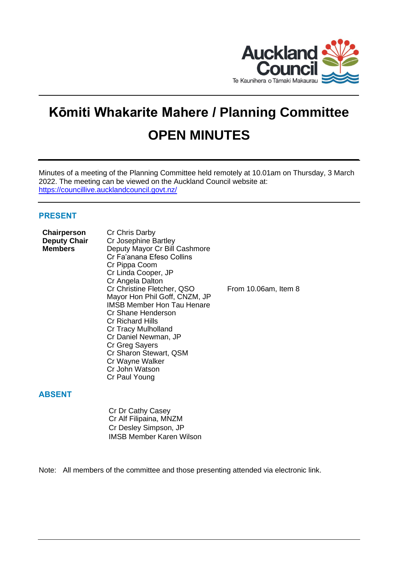

# **Kōmiti Whakarite Mahere / Planning Committee OPEN MINUTES**

Minutes of a meeting of the Planning Committee held remotely at 10.01am on Thursday, 3 March 2022. The meeting can be viewed on the Auckland Council website at: <https://councillive.aucklandcouncil.govt.nz/>

# **PRESENT**

| <b>Chairperson</b><br><b>Deputy Chair</b><br>Members | Cr Chris Darby<br>Cr Josephine Bartley<br>Deputy Mayor Cr Bill Cashmore<br>Cr Fa'anana Efeso Collins<br>Cr Pippa Coom<br>Cr Linda Cooper, JP                                                                                                                                                          |                      |
|------------------------------------------------------|-------------------------------------------------------------------------------------------------------------------------------------------------------------------------------------------------------------------------------------------------------------------------------------------------------|----------------------|
|                                                      | Cr Angela Dalton<br>Cr Christine Fletcher, QSO<br>Mayor Hon Phil Goff, CNZM, JP<br><b>IMSB Member Hon Tau Henare</b><br>Cr Shane Henderson<br><b>Cr Richard Hills</b><br>Cr Tracy Mulholland<br>Cr Daniel Newman, JP<br>Cr Greg Sayers<br>Cr Sharon Stewart, QSM<br>Cr Wayne Walker<br>Cr John Watson | From 10.06am, Item 8 |
|                                                      | Cr Paul Young                                                                                                                                                                                                                                                                                         |                      |

# **ABSENT**

Cr Dr Cathy Casey Cr Alf Filipaina, MNZM Cr Desley Simpson, JP IMSB Member Karen Wilson

Note: All members of the committee and those presenting attended via electronic link.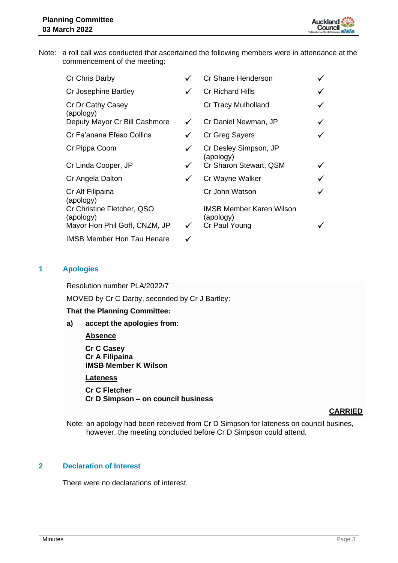

Note: a roll call was conducted that ascertained the following members were in attendance at the commencement of the meeting:

| Cr Chris Darby                          |              | Cr Shane Henderson                           |  |
|-----------------------------------------|--------------|----------------------------------------------|--|
| Cr Josephine Bartley                    |              | <b>Cr Richard Hills</b>                      |  |
| Cr Dr Cathy Casey<br>(apology)          |              | <b>Cr Tracy Mulholland</b>                   |  |
| Deputy Mayor Cr Bill Cashmore           | $\checkmark$ | Cr Daniel Newman, JP                         |  |
| Cr Fa'anana Efeso Collins               |              | Cr Greg Sayers                               |  |
| Cr Pippa Coom                           |              | Cr Desley Simpson, JP<br>(apology)           |  |
| Cr Linda Cooper, JP                     |              | Cr Sharon Stewart, QSM                       |  |
| Cr Angela Dalton                        | ✓            | Cr Wayne Walker                              |  |
| Cr Alf Filipaina<br>(apology)           |              | Cr John Watson                               |  |
| Cr Christine Fletcher, QSO<br>(apology) |              | <b>IMSB Member Karen Wilson</b><br>(apology) |  |
| Mayor Hon Phil Goff, CNZM, JP           |              | Cr Paul Young                                |  |
| <b>IMSB Member Hon Tau Henare</b>       |              |                                              |  |

# **1 Apologies**

Resolution number PLA/2022/7

MOVED by Cr C Darby, seconded by Cr J Bartley:

## **That the Planning Committee:**

**a) accept the apologies from:**

## **Absence**

**Cr C Casey Cr A Filipaina IMSB Member K Wilson**

**Lateness**

**Cr C Fletcher Cr D Simpson – on council business** 

## **CARRIED**

Note: an apology had been received from Cr D Simpson for lateness on council busines, however, the meeting concluded before Cr D Simpson could attend.

## **2 Declaration of Interest**

There were no declarations of interest.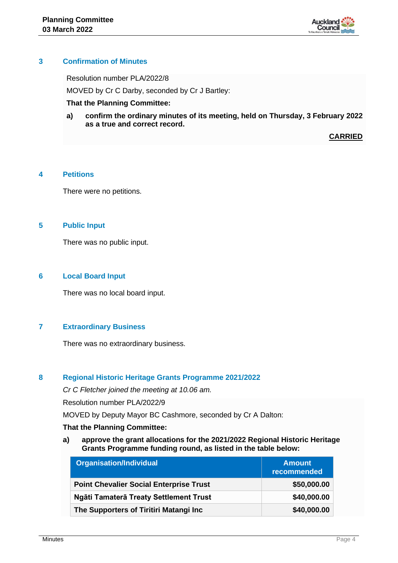

## **3 Confirmation of Minutes**

Resolution number PLA/2022/8

MOVED by Cr C Darby, seconded by Cr J Bartley:

## **That the Planning Committee:**

**a) confirm the ordinary minutes of its meeting, held on Thursday, 3 February 2022 as a true and correct record.**

**CARRIED**

# **4 Petitions**

There were no petitions.

# **5 Public Input**

There was no public input.

## **6 Local Board Input**

There was no local board input.

# **7 Extraordinary Business**

There was no extraordinary business.

## **8 Regional Historic Heritage Grants Programme 2021/2022**

*Cr C Fletcher joined the meeting at 10.06 am.*

Resolution number PLA/2022/9

MOVED by Deputy Mayor BC Cashmore, seconded by Cr A Dalton:

## **That the Planning Committee:**

**a) approve the grant allocations for the 2021/2022 Regional Historic Heritage Grants Programme funding round, as listed in the table below:**

| <b>Organisation/Individual</b>                 | <b>Amount</b><br>recommended |
|------------------------------------------------|------------------------------|
| <b>Point Chevalier Social Enterprise Trust</b> | \$50,000.00                  |
| Ngāti Tamaterā Treaty Settlement Trust         | \$40,000.00                  |
| The Supporters of Tiritiri Matangi Inc         | \$40,000.00                  |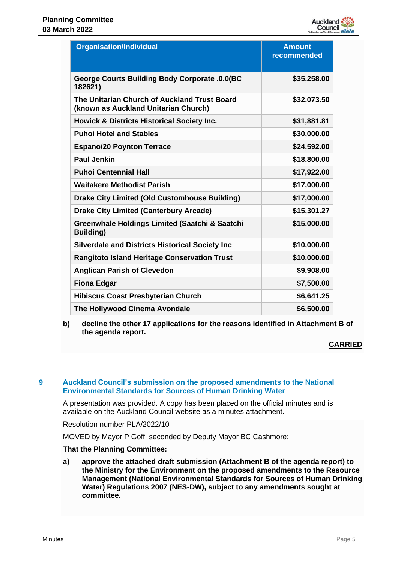

| <b>Organisation/Individual</b>                                                       | <b>Amount</b><br>recommended |
|--------------------------------------------------------------------------------------|------------------------------|
| George Courts Building Body Corporate .0.0(BC<br>182621)                             | \$35,258.00                  |
| The Unitarian Church of Auckland Trust Board<br>(known as Auckland Unitarian Church) | \$32,073.50                  |
| <b>Howick &amp; Districts Historical Society Inc.</b>                                | \$31,881.81                  |
| <b>Puhoi Hotel and Stables</b>                                                       | \$30,000.00                  |
| <b>Espano/20 Poynton Terrace</b>                                                     | \$24,592.00                  |
| <b>Paul Jenkin</b>                                                                   | \$18,800.00                  |
| <b>Puhoi Centennial Hall</b>                                                         | \$17,922.00                  |
| <b>Waitakere Methodist Parish</b>                                                    | \$17,000.00                  |
| <b>Drake City Limited (Old Customhouse Building)</b>                                 | \$17,000.00                  |
| <b>Drake City Limited (Canterbury Arcade)</b>                                        | \$15,301.27                  |
| Greenwhale Holdings Limited (Saatchi & Saatchi<br><b>Building</b> )                  | \$15,000.00                  |
| <b>Silverdale and Districts Historical Society Inc</b>                               | \$10,000.00                  |
| <b>Rangitoto Island Heritage Conservation Trust</b>                                  | \$10,000.00                  |
| <b>Anglican Parish of Clevedon</b>                                                   | \$9,908.00                   |
| <b>Fiona Edgar</b>                                                                   | \$7,500.00                   |
| <b>Hibiscus Coast Presbyterian Church</b>                                            | \$6,641.25                   |
| The Hollywood Cinema Avondale                                                        | \$6,500.00                   |

**b) decline the other 17 applications for the reasons identified in Attachment B of the agenda report.**

## **CARRIED**

## **9 Auckland Council's submission on the proposed amendments to the National Environmental Standards for Sources of Human Drinking Water**

A presentation was provided. A copy has been placed on the official minutes and is available on the Auckland Council website as a minutes attachment.

Resolution number PLA/2022/10

MOVED by Mayor P Goff, seconded by Deputy Mayor BC Cashmore:

## **That the Planning Committee:**

**a) approve the attached draft submission (Attachment B of the agenda report) to the Ministry for the Environment on the proposed amendments to the Resource Management (National Environmental Standards for Sources of Human Drinking Water) Regulations 2007 (NES-DW), subject to any amendments sought at committee.**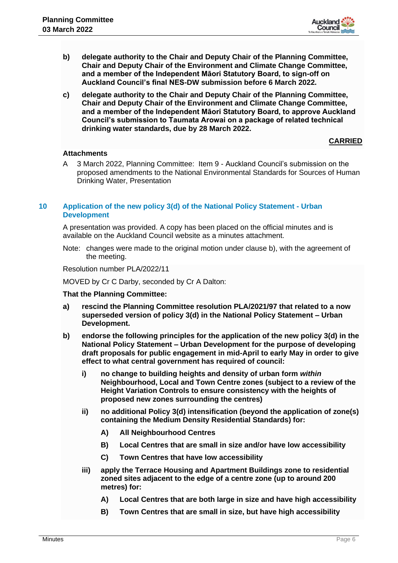

- **b) delegate authority to the Chair and Deputy Chair of the Planning Committee, Chair and Deputy Chair of the Environment and Climate Change Committee, and a member of the Independent Māori Statutory Board, to sign-off on Auckland Council's final NES-DW submission before 6 March 2022.**
- **c) delegate authority to the Chair and Deputy Chair of the Planning Committee, Chair and Deputy Chair of the Environment and Climate Change Committee, and a member of the Independent Māori Statutory Board, to approve Auckland Council's submission to Taumata Arowai on a package of related technical drinking water standards, due by 28 March 2022.**

## **CARRIED**

## **Attachments**

A 3 March 2022, Planning Committee: Item 9 - Auckland Council's submission on the proposed amendments to the National Environmental Standards for Sources of Human Drinking Water, Presentation

## **10 Application of the new policy 3(d) of the National Policy Statement - Urban Development**

A presentation was provided. A copy has been placed on the official minutes and is available on the Auckland Council website as a minutes attachment.

Note: changes were made to the original motion under clause b), with the agreement of the meeting.

Resolution number PLA/2022/11

MOVED by Cr C Darby, seconded by Cr A Dalton:

## **That the Planning Committee:**

- **a) rescind the Planning Committee resolution PLA/2021/97 that related to a now superseded version of policy 3(d) in the National Policy Statement – Urban Development.**
- **b) endorse the following principles for the application of the new policy 3(d) in the National Policy Statement – Urban Development for the purpose of developing draft proposals for public engagement in mid-April to early May in order to give effect to what central government has required of council:**
	- **i) no change to building heights and density of urban form** *within* **Neighbourhood, Local and Town Centre zones (subject to a review of the Height Variation Controls to ensure consistency with the heights of proposed new zones surrounding the centres)**
	- **ii) no additional Policy 3(d) intensification (beyond the application of zone(s) containing the Medium Density Residential Standards) for:**
		- **A) All Neighbourhood Centres**
		- **B) Local Centres that are small in size and/or have low accessibility**
		- **C) Town Centres that have low accessibility**
	- **iii) apply the Terrace Housing and Apartment Buildings zone to residential zoned sites adjacent to the edge of a centre zone (up to around 200 metres) for:** 
		- **A) Local Centres that are both large in size and have high accessibility**
		- **B) Town Centres that are small in size, but have high accessibility**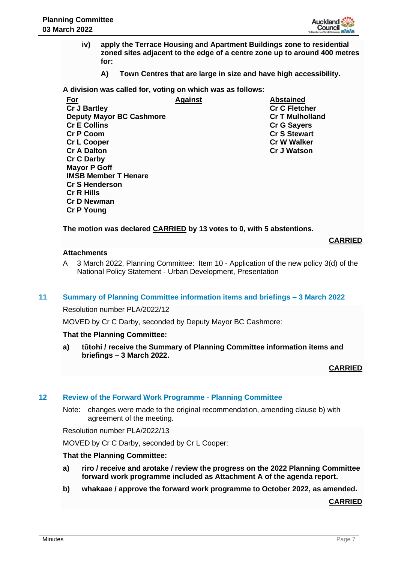

- **iv) apply the Terrace Housing and Apartment Buildings zone to residential zoned sites adjacent to the edge of a centre zone up to around 400 metres for:**
	- **A) Town Centres that are large in size and have high accessibility.**

**A division was called for, voting on which was as follows:**

| <u>For</u>                      | Against | <b>Abstained</b>       |
|---------------------------------|---------|------------------------|
| <b>Cr J Bartley</b>             |         | <b>Cr C Fletcher</b>   |
| <b>Deputy Mayor BC Cashmore</b> |         | <b>Cr T Mulholland</b> |
| <b>Cr E Collins</b>             |         | <b>Cr G Sayers</b>     |
| <b>Cr P Coom</b>                |         | <b>Cr S Stewart</b>    |
| <b>Cr L Cooper</b>              |         | <b>Cr W Walker</b>     |
| <b>Cr A Dalton</b>              |         | <b>Cr J Watson</b>     |
| <b>Cr C Darby</b>               |         |                        |
| <b>Mayor P Goff</b>             |         |                        |
| <b>IMSB Member T Henare</b>     |         |                        |
| <b>Cr S Henderson</b>           |         |                        |
| <b>Cr R Hills</b>               |         |                        |
| <b>Cr D Newman</b>              |         |                        |

**The motion was declared CARRIED by 13 votes to 0, with 5 abstentions.**

**CARRIED**

## **Attachments**

**Cr P Young**

A 3 March 2022, Planning Committee: Item 10 - Application of the new policy 3(d) of the National Policy Statement - Urban Development, Presentation

## **11 Summary of Planning Committee information items and briefings – 3 March 2022**

Resolution number PLA/2022/12

MOVED by Cr C Darby, seconded by Deputy Mayor BC Cashmore:

## **That the Planning Committee:**

**a) tūtohi / receive the Summary of Planning Committee information items and briefings – 3 March 2022.**

## **CARRIED**

## **12 Review of the Forward Work Programme - Planning Committee**

Note: changes were made to the original recommendation, amending clause b) with agreement of the meeting.

Resolution number PLA/2022/13

MOVED by Cr C Darby, seconded by Cr L Cooper:

## **That the Planning Committee:**

- **a) riro / receive and arotake / review the progress on the 2022 Planning Committee forward work programme included as Attachment A of the agenda report.**
- **b) whakaae / approve the forward work programme to October 2022, as amended.**

**CARRIED**